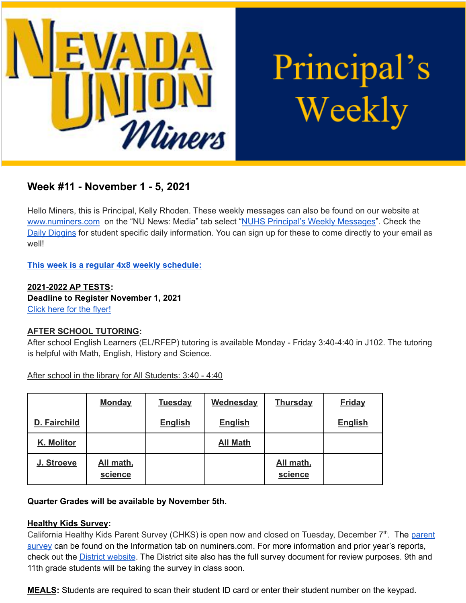

Principal's Weekly

# **Week #11 - November 1 - 5, 2021**

Hello Miners, this is Principal, Kelly Rhoden. These weekly messages can also be found on our website at [www.numiners.com](http://www.numiners.com) on the "NU News: Media" tab select "NUHS Principal's Weekly [Messages"](https://nevadaunion.njuhsd.com/NU-NewsMedia/NUHS-Principals-Weekly-Messages/index.html). Check the Daily [Diggins](https://nevadaunion.njuhsd.com/NU-NewsMedia/Daily-Diggins-Bulletin/index.html) for student specific daily information. You can sign up for these to come directly to your email as well!

**This week is a regular 4x8 weekly [schedule](https://nevadaunion.njuhsd.com/documents/Bell%20Schedules/Bell-Schedule-2021-2022-NUHS-4x8.pdf):**

**2021-2022 AP TESTS: Deadline to Register November 1, 2021** [Click](https://nevadaunion.njuhsd.com/About-Us/Testing--Accountability/Advanced-Placement-Tests/index.html) here for the flyer!

## **AFTER SCHOOL TUTORING:**

After school English Learners (EL/RFEP) tutoring is available Monday - Friday 3:40-4:40 in J102. The tutoring is helpful with Math, English, History and Science.

After school in the library for All Students: 3:40 - 4:40

|              | <b>Monday</b>        | <b>Tuesday</b> | <b>Wednesday</b> | <b>Thursday</b>      | <b>Friday</b>  |
|--------------|----------------------|----------------|------------------|----------------------|----------------|
| D. Fairchild |                      | <b>English</b> | <b>English</b>   |                      | <b>English</b> |
| K. Molitor   |                      |                | <b>All Math</b>  |                      |                |
| J. Stroeve   | All math,<br>science |                |                  | All math,<br>science |                |

#### **Quarter Grades will be available by November 5th.**

#### **Healthy Kids Survey:**

California Healthy Kids Parent Survey (CHKS) is open now and closed on Tuesday, December 7<sup>th</sup>. The [parent](https://wested.ugam-apps.com/wed/ts/cQ4y) [survey](https://wested.ugam-apps.com/wed/ts/cQ4y) can be found on the Information tab on numiners.com. For more information and prior year's reports, check out the **District [website](https://www.njuhsd.com/Parents/Health--Safety/index.html)**. The District site also has the full survey document for review purposes. 9th and 11th grade students will be taking the survey in class soon.

**MEALS:** Students are required to scan their student ID card or enter their student number on the keypad.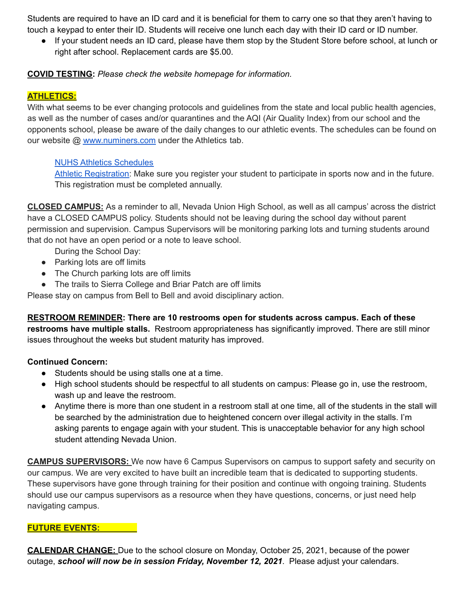Students are required to have an ID card and it is beneficial for them to carry one so that they aren't having to touch a keypad to enter their ID. Students will receive one lunch each day with their ID card or ID number.

If your student needs an ID card, please have them stop by the Student Store before school, at lunch or right after school. Replacement cards are \$5.00.

## **COVID TESTING:** *Please check the website homepage for information.*

## **ATHLETICS:**

With what seems to be ever changing protocols and guidelines from the state and local public health agencies, as well as the number of cases and/or quarantines and the AQI (Air Quality Index) from our school and the opponents school, please be aware of the daily changes to our athletic events. The schedules can be found on our website @ [www.numiners.com](http://www.numiners.com) under the Athletics tab.

## NUHS Athletics [Schedules](https://nevadaunion.njuhsd.com/Athletics/Sports-Calendar--Schedules/index.html)

Athletic [Registration:](https://nevadaunion.njuhsd.com/Athletics/How-to-Register-For-a-Sport/index.html) Make sure you register your student to participate in sports now and in the future. This registration must be completed annually.

**CLOSED CAMPUS:** As a reminder to all, Nevada Union High School, as well as all campus' across the district have a CLOSED CAMPUS policy. Students should not be leaving during the school day without parent permission and supervision. Campus Supervisors will be monitoring parking lots and turning students around that do not have an open period or a note to leave school.

During the School Day:

- Parking lots are off limits
- The Church parking lots are off limits
- The trails to Sierra College and Briar Patch are off limits

Please stay on campus from Bell to Bell and avoid disciplinary action.

## **RESTROOM REMINDER: There are 10 restrooms open for students across campus. Each of these**

**restrooms have multiple stalls.** Restroom appropriateness has significantly improved. There are still minor issues throughout the weeks but student maturity has improved.

## **Continued Concern:**

- Students should be using stalls one at a time.
- High school students should be respectful to all students on campus: Please go in, use the restroom, wash up and leave the restroom.
- Anytime there is more than one student in a restroom stall at one time, all of the students in the stall will be searched by the administration due to heightened concern over illegal activity in the stalls. I'm asking parents to engage again with your student. This is unacceptable behavior for any high school student attending Nevada Union.

**CAMPUS SUPERVISORS:** We now have 6 Campus Supervisors on campus to support safety and security on our campus. We are very excited to have built an incredible team that is dedicated to supporting students. These supervisors have gone through training for their position and continue with ongoing training. Students should use our campus supervisors as a resource when they have questions, concerns, or just need help navigating campus.

#### **FUTURE EVENTS:**

**CALENDAR CHANGE:** Due to the school closure on Monday, October 25, 2021, because of the power outage, *school will now be in session Friday, November 12, 2021*. Please adjust your calendars.